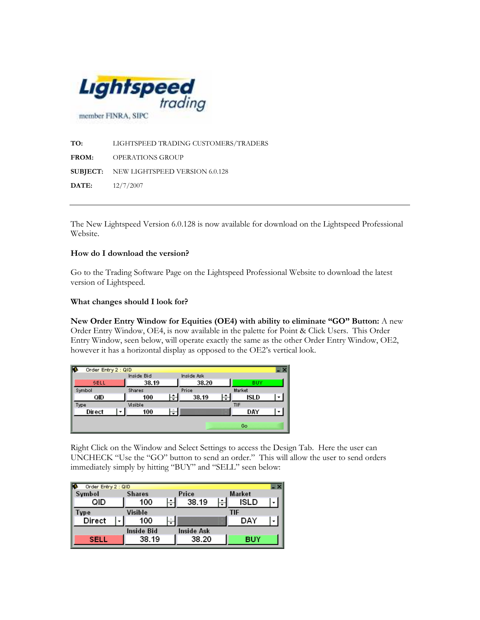

TO: LIGHTSPEED TRADING CUSTOMERS/TRADERS FROM: OPERATIONS GROUP SUBJECT: NEW LIGHTSPEED VERSION 6.0.128 DATE: 12/7/2007

The New Lightspeed Version 6.0.128 is now available for download on the Lightspeed Professional Website.

## How do I download the version?

Go to the Trading Software Page on the Lightspeed Professional Website to download the latest version of Lightspeed.

## What changes should I look for?

New Order Entry Window for Equities (OE4) with ability to eliminate "GO" Button: A new Order Entry Window, OE4, is now available in the palette for Point & Click Users. This Order Entry Window, seen below, will operate exactly the same as the other Order Entry Window, OE2, however it has a horizontal display as opposed to the OE2's vertical look.

| Order Entry 2 : QID |            |            |        |  |
|---------------------|------------|------------|--------|--|
|                     | Inside Bid | Inside Ask |        |  |
| se.                 | 38.19      | 38.20      | BUY    |  |
| Symbol              | Shares     | Price      | Market |  |
| QID                 | 100        | 38.19      | ISLD   |  |
| Type                | Visible    |            | TIF    |  |
| Direct              | 100        |            | DAY    |  |
|                     |            |            |        |  |
|                     |            |            | Go     |  |

Right Click on the Window and Select Settings to access the Design Tab. Here the user can UNCHECK "Use the "GO" button to send an order." This will allow the user to send orders immediately simply by hitting "BUY" and "SELL" seen below:

| Order Entry 2 : QID |               |           |            |  |            |  |
|---------------------|---------------|-----------|------------|--|------------|--|
| Symbol              | <b>Shares</b> |           | Price      |  | Market     |  |
| QID                 | 100           | $\ddot{}$ | 38.19      |  | ISLD       |  |
| ype                 | Visible       |           |            |  | TIF        |  |
| Direct              | 100           |           |            |  | DAY        |  |
|                     | Inside Bid    |           | Inside Ask |  |            |  |
| 820                 | 38.19         |           | 38.20      |  | <b>BUY</b> |  |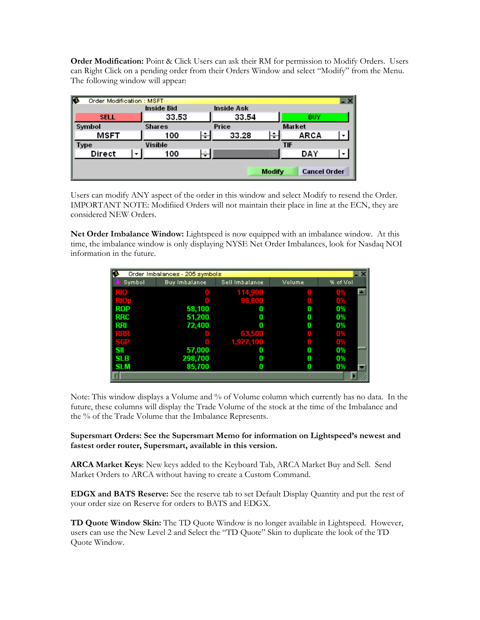Order Modification: Point & Click Users can ask their RM for permission to Modify Orders. Users can Right Click on a pending order from their Orders Window and select "Modify" from the Menu. The following window will appear:

| R<br>Order Modification: MSFT        |               |   |            |   |               | - × |
|--------------------------------------|---------------|---|------------|---|---------------|-----|
|                                      | Inside Bid    |   | Inside Ask |   |               |     |
| NG 19                                | 33.53         |   | 33.54      |   | <b>BUY</b>    |     |
| Symbol                               | <b>Shares</b> |   | Price      |   | <b>Market</b> |     |
| MSFT                                 | 100           | ▼ | 33.28      | ▼ | ARCA          |     |
| <b>Type</b>                          | Visible       |   | TIF        |   |               |     |
| Direct                               | 100           |   |            |   | DAY           |     |
| <b>Cancel Order</b><br><b>Modify</b> |               |   |            |   |               |     |

Users can modify ANY aspect of the order in this window and select Modify to resend the Order. IMPORTANT NOTE: Modifiied Orders will not maintain their place in line at the ECN, they are considered NEW Orders.

Net Order Imbalance Window: Lightspeed is now equipped with an imbalance window. At this time, the imbalance window is only displaying NYSE Net Order Imbalances, look for Nasdaq NOI information in the future.

| r<br>Order Imbalances - 205 symbols |               |                |        |          |  |  |  |
|-------------------------------------|---------------|----------------|--------|----------|--|--|--|
| Symbol                              | Buy Imbalance | Sell Imbalance | Volume | % of Vol |  |  |  |
| RIO.                                |               | 114,900        |        | 0%       |  |  |  |
| RIOD                                |               | 96.300         |        | 0%       |  |  |  |
| ROP                                 | 58,100        | 0              | 0      | 0%       |  |  |  |
| <b>RRC</b>                          | 51,200        | 0              | 0      | 0%       |  |  |  |
| RRI                                 | 72,400        | 0              | Ω      | 0%       |  |  |  |
| <b>RRK</b>                          |               | 68.500         |        | 0%       |  |  |  |
| SGP                                 |               | 1,927,100      |        | 0%       |  |  |  |
| SII                                 | 57,000        | 0              | 0      | 0%       |  |  |  |
| <b>SLB</b>                          | 298,700       | 0              | 0      | 0%       |  |  |  |
| <b>SLM</b>                          | 85,700        | 0              | Ω      | 0%       |  |  |  |
|                                     |               |                |        |          |  |  |  |

Note: This window displays a Volume and % of Volume column which currently has no data. In the future, these columns will display the Trade Volume of the stock at the time of the Imbalance and the % of the Trade Volume that the Imbalance Represents.

## Supersmart Orders: See the Supersmart Memo for information on Lightspeed's newest and fastest order router, Supersmart, available in this version.

ARCA Market Keys: New keys added to the Keyboard Tab, ARCA Market Buy and Sell. Send Market Orders to ARCA without having to create a Custom Command.

EDGX and BATS Reserve: See the reserve tab to set Default Display Quantity and put the rest of your order size on Reserve for orders to BATS and EDGX.

TD Quote Window Skin: The TD Quote Window is no longer available in Lightspeed. However, users can use the New Level 2 and Select the "TD Quote" Skin to duplicate the look of the TD Quote Window.